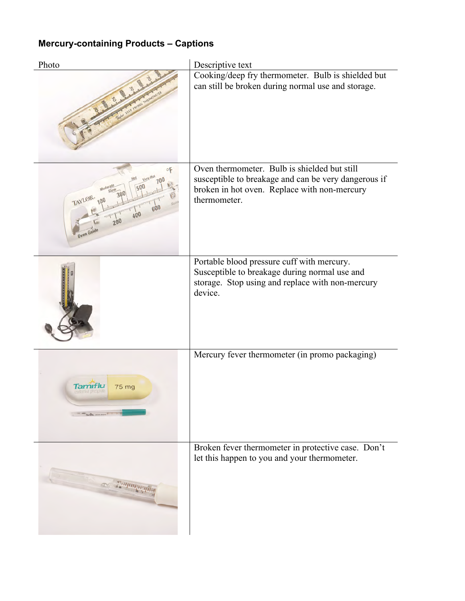## **Mercury-containing Products – Captions**

| Photo                                                  | Descriptive text                                                                                                                                                     |
|--------------------------------------------------------|----------------------------------------------------------------------------------------------------------------------------------------------------------------------|
|                                                        | Cooking/deep fry thermometer. Bulb is shielded but<br>can still be broken during normal use and storage.                                                             |
| TAYLOR.<br>600<br>400<br>20 <sub>0</sub><br>Oven Guide | Oven thermometer. Bulb is shielded but still<br>susceptible to breakage and can be very dangerous if<br>broken in hot oven. Replace with non-mercury<br>thermometer. |
|                                                        | Portable blood pressure cuff with mercury.<br>Susceptible to breakage during normal use and<br>storage. Stop using and replace with non-mercury<br>device.           |
| 75 mg<br>David by more away IT IT IS                   | Mercury fever thermometer (in promo packaging)                                                                                                                       |
|                                                        | Broken fever thermometer in protective case. Don't<br>let this happen to you and your thermometer.                                                                   |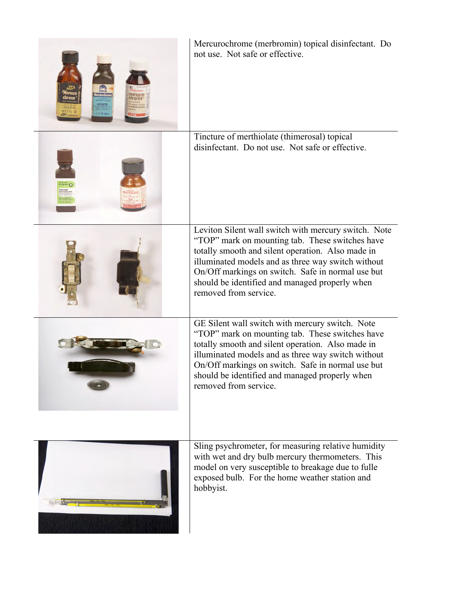| Mercurochrome (merbromin) topical disinfectant. Do<br>not use. Not safe or effective.                                                                                                                                                                                                                                                              |
|----------------------------------------------------------------------------------------------------------------------------------------------------------------------------------------------------------------------------------------------------------------------------------------------------------------------------------------------------|
| Tincture of merthiolate (thimerosal) topical<br>disinfectant. Do not use. Not safe or effective.                                                                                                                                                                                                                                                   |
| Leviton Silent wall switch with mercury switch. Note<br>"TOP" mark on mounting tab. These switches have<br>totally smooth and silent operation. Also made in<br>illuminated models and as three way switch without<br>On/Off markings on switch. Safe in normal use but<br>should be identified and managed properly when<br>removed from service. |
| GE Silent wall switch with mercury switch. Note<br>"TOP" mark on mounting tab. These switches have<br>totally smooth and silent operation. Also made in<br>illuminated models and as three way switch without<br>On/Off markings on switch. Safe in normal use but<br>should be identified and managed properly when<br>removed from service.      |
| Sling psychrometer, for measuring relative humidity<br>with wet and dry bulb mercury thermometers. This<br>model on very susceptible to breakage due to fulle<br>exposed bulb. For the home weather station and<br>hobbyist.                                                                                                                       |